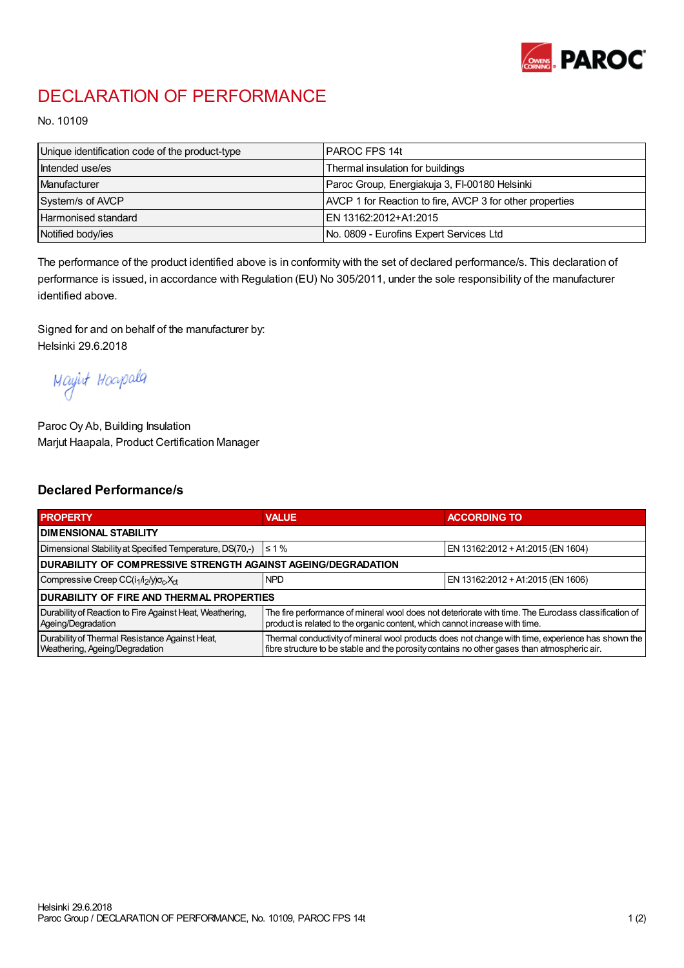

## DECLARATION OF PERFORMANCE

No. 10109

| Unique identification code of the product-type | I PAROC FPS 14t                                          |
|------------------------------------------------|----------------------------------------------------------|
| Intended use/es                                | Thermal insulation for buildings                         |
| Manufacturer                                   | Paroc Group, Energiakuja 3, FI-00180 Helsinki            |
| System/s of AVCP                               | AVCP 1 for Reaction to fire, AVCP 3 for other properties |
| <b>Harmonised standard</b>                     | EN 13162:2012+A1:2015                                    |
| Notified body/ies                              | No. 0809 - Eurofins Expert Services Ltd                  |

The performance of the product identified above is in conformity with the set of declared performance/s. This declaration of performance is issued, in accordance with Regulation (EU) No 305/2011, under the sole responsibility of the manufacturer identified above.

Signed for and on behalf of the manufacturer by: Helsinki 29.6.2018

Mayirt Hoapala

Paroc Oy Ab, Building Insulation Marjut Haapala, Product Certification Manager

## Declared Performance/s

| <b>PROPERTY</b>                                                                  | <b>VALUE</b>                                                                                                                                                                                     | <b>ACCORDING TO</b>               |  |  |
|----------------------------------------------------------------------------------|--------------------------------------------------------------------------------------------------------------------------------------------------------------------------------------------------|-----------------------------------|--|--|
| <b>I DIMENSIONAL STABILITY</b>                                                   |                                                                                                                                                                                                  |                                   |  |  |
| Dimensional Stability at Specified Temperature, DS(70,-)                         | $\leq 1\%$                                                                                                                                                                                       | EN 13162:2012 + A1:2015 (EN 1604) |  |  |
| DURABILITY OF COMPRESSIVE STRENGTH AGAINST AGEING/DEGRADATION                    |                                                                                                                                                                                                  |                                   |  |  |
| Compressive Creep CC(i <sub>1</sub> /i <sub>2</sub> /y) $\sigma_c X_{ct}$        | <b>NPD</b>                                                                                                                                                                                       | EN 13162:2012 + A1:2015 (EN 1606) |  |  |
| <b>DURABILITY OF FIRE AND THERMAL PROPERTIES</b>                                 |                                                                                                                                                                                                  |                                   |  |  |
| Durability of Reaction to Fire Against Heat, Weathering,<br>Ageing/Degradation   | The fire performance of mineral wool does not deteriorate with time. The Euroclass classification of<br>product is related to the organic content, which cannot increase with time.              |                                   |  |  |
| Durability of Thermal Resistance Against Heat,<br>Weathering, Ageing/Degradation | Thermal conductivity of mineral wool products does not change with time, experience has shown the<br>fibre structure to be stable and the porosity contains no other gases than atmospheric air. |                                   |  |  |